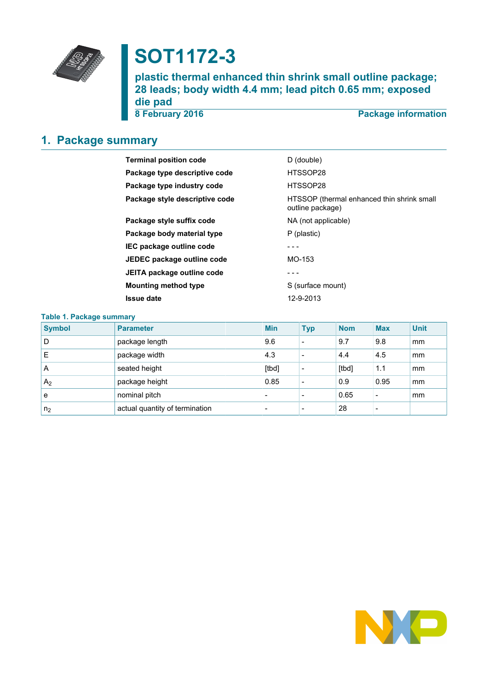

# **SOT1172-3**

**plastic thermal enhanced thin shrink small outline package; 28 leads; body width 4.4 mm; lead pitch 0.65 mm; exposed die pad**

**8 February 2016 Package information**

# <span id="page-0-0"></span>**1. Package summary**

| <b>Terminal position code</b>  | D (double)                                                     |
|--------------------------------|----------------------------------------------------------------|
| Package type descriptive code  | HTSSOP28                                                       |
| Package type industry code     | HTSSOP28                                                       |
| Package style descriptive code | HTSSOP (thermal enhanced thin shrink small<br>outline package) |
| Package style suffix code      | NA (not applicable)                                            |
| Package body material type     | P (plastic)                                                    |
| IEC package outline code       |                                                                |
| JEDEC package outline code     | MO-153                                                         |
| JEITA package outline code     |                                                                |
| <b>Mounting method type</b>    | S (surface mount)                                              |
| <b>Issue date</b>              | 12-9-2013                                                      |

| <b>Table 1. Package summary</b> |                                |  |                          |                          |            |            |             |  |  |
|---------------------------------|--------------------------------|--|--------------------------|--------------------------|------------|------------|-------------|--|--|
| <b>Symbol</b>                   | <b>Parameter</b>               |  | <b>Min</b>               | <b>Typ</b>               | <b>Nom</b> | <b>Max</b> | <b>Unit</b> |  |  |
| D                               | package length                 |  | 9.6                      | $\overline{\phantom{a}}$ | 9.7        | 9.8        | mm          |  |  |
| Е                               | package width                  |  | 4.3                      |                          | 4.4        | 4.5        | mm          |  |  |
| A                               | seated height                  |  | [tbd]                    | $\overline{\phantom{a}}$ | [tbd]      | 1.1        | mm          |  |  |
| A <sub>2</sub>                  | package height                 |  | 0.85                     | $\overline{\phantom{a}}$ | 0.9        | 0.95       | mm          |  |  |
| e                               | nominal pitch                  |  | $\overline{\phantom{0}}$ | $\overline{\phantom{a}}$ | 0.65       |            | mm          |  |  |
| n <sub>2</sub>                  | actual quantity of termination |  | $\overline{\phantom{0}}$ | $\overline{\phantom{a}}$ | 28         |            |             |  |  |

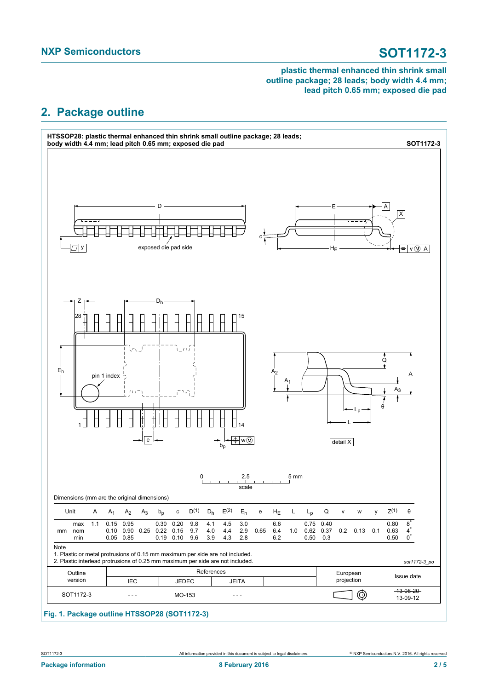# <span id="page-1-0"></span>**2. Package outline**



### **Fig. 1. Package outline HTSSOP28 (SOT1172-3)**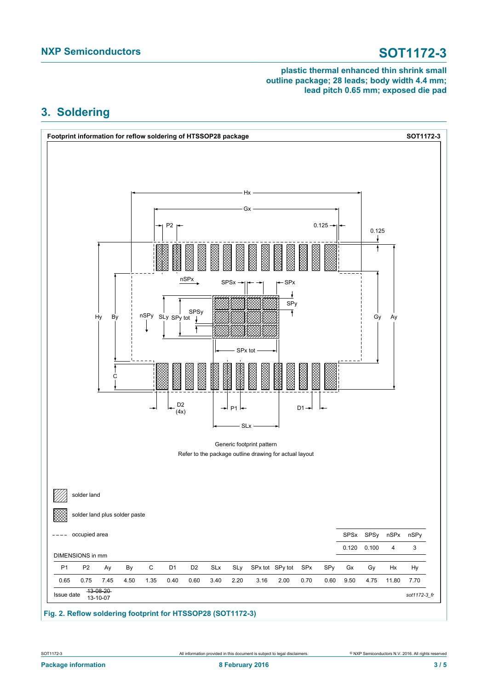# <span id="page-2-0"></span>**3. Soldering**



**Fig. 2. Reflow soldering footprint for HTSSOP28 (SOT1172-3)**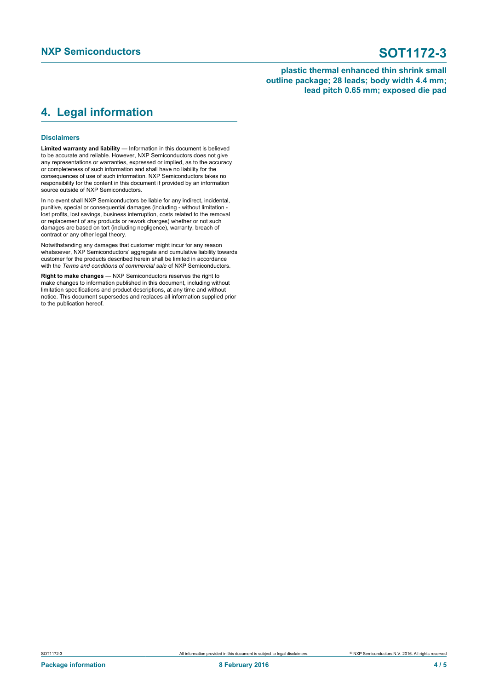# <span id="page-3-0"></span>**4. Legal information**

### **Disclaimers**

**Limited warranty and liability** — Information in this document is believed to be accurate and reliable. However, NXP Semiconductors does not give any representations or warranties, expressed or implied, as to the accuracy or completeness of such information and shall have no liability for the consequences of use of such information. NXP Semiconductors takes no responsibility for the content in this document if provided by an information source outside of NXP Semiconductors.

In no event shall NXP Semiconductors be liable for any indirect, incidental, punitive, special or consequential damages (including - without limitation lost profits, lost savings, business interruption, costs related to the removal or replacement of any products or rework charges) whether or not such damages are based on tort (including negligence), warranty, breach of contract or any other legal theory.

Notwithstanding any damages that customer might incur for any reason whatsoever, NXP Semiconductors' aggregate and cumulative liability towards customer for the products described herein shall be limited in accordance with the *Terms and conditions of commercial sale* of NXP Semiconductors.

**Right to make changes** — NXP Semiconductors reserves the right to make changes to information published in this document, including without limitation specifications and product descriptions, at any time and without notice. This document supersedes and replaces all information supplied prior to the publication hereof.